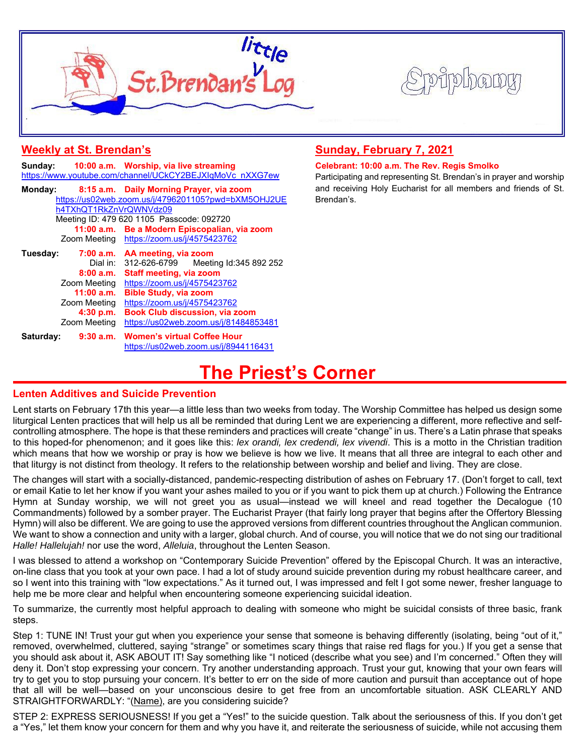



| <b>Weekly at St. Brendan's</b> |  |
|--------------------------------|--|
|--------------------------------|--|

|                                           |              | Sunday: 10:00 a.m. Worship, via live streaming           |  |  |  |  |
|-------------------------------------------|--------------|----------------------------------------------------------|--|--|--|--|
|                                           |              | https://www.youtube.com/channel/UCkCY2BEJXIqMoVc nXXG7ew |  |  |  |  |
| Monday:                                   |              | 8:15 a.m. Daily Morning Prayer, via zoom                 |  |  |  |  |
|                                           |              | https://us02web.zoom.us/j/4796201105?pwd=bXM5OHJ2UE      |  |  |  |  |
| h4TXhQT1RkZnVrQWNVdz09                    |              |                                                          |  |  |  |  |
| Meeting ID: 479 620 1105 Passcode: 092720 |              |                                                          |  |  |  |  |
|                                           |              | 11:00 a.m. Be a Modern Episcopalian, via zoom            |  |  |  |  |
|                                           |              | Zoom Meeting https://zoom.us/j/4575423762                |  |  |  |  |
| Tuesday:                                  |              | 7:00 a.m. AA meeting, via zoom                           |  |  |  |  |
|                                           | Dial in:     | 312-626-6799 Meeting Id:345 892 252                      |  |  |  |  |
|                                           | 8:00a.m.     | <b>Staff meeting, via zoom</b>                           |  |  |  |  |
|                                           | Zoom Meeting | https://zoom.us/j/4575423762                             |  |  |  |  |
|                                           | 11:00 a.m.   | <b>Bible Study, via zoom</b>                             |  |  |  |  |
|                                           | Zoom Meeting | https://zoom.us/j/4575423762                             |  |  |  |  |
|                                           | 4:30 p.m.    | <b>Book Club discussion, via zoom</b>                    |  |  |  |  |
|                                           | Zoom Meeting | https://us02web.zoom.us/j/81484853481                    |  |  |  |  |
| Saturday:                                 | 9:30 a.m.    | <b>Women's virtual Coffee Hour</b>                       |  |  |  |  |
|                                           |              | https://us02web.zoom.us/j/8944116431                     |  |  |  |  |

## **Sunday, February 7, 2021**

### **Celebrant: 10:00 a.m. The Rev. Regis Smolko**

Participating and representing St. Brendan's in prayer and worship and receiving Holy Eucharist for all members and friends of St. Brendan's.

## **The Priest's Corner**

## **Lenten Additives and Suicide Prevention**

Lent starts on February 17th this year—a little less than two weeks from today. The Worship Committee has helped us design some liturgical Lenten practices that will help us all be reminded that during Lent we are experiencing a different, more reflective and selfcontrolling atmosphere. The hope is that these reminders and practices will create "change" in us. There's a Latin phrase that speaks to this hoped-for phenomenon; and it goes like this: *lex orandi, lex credendi, lex vivendi*. This is a motto in the Christian tradition which means that how we worship or pray is how we believe is how we live. It means that all three are integral to each other and that liturgy is not distinct from theology. It refers to the relationship between worship and belief and living. They are close.

The changes will start with a socially-distanced, pandemic-respecting distribution of ashes on February 17. (Don't forget to call, text or email Katie to let her know if you want your ashes mailed to you or if you want to pick them up at church.) Following the Entrance Hymn at Sunday worship, we will not greet you as usual—instead we will kneel and read together the Decalogue (10 Commandments) followed by a somber prayer. The Eucharist Prayer (that fairly long prayer that begins after the Offertory Blessing Hymn) will also be different. We are going to use the approved versions from different countries throughout the Anglican communion. We want to show a connection and unity with a larger, global church. And of course, you will notice that we do not sing our traditional *Halle! Hallelujah!* nor use the word, *Alleluia*, throughout the Lenten Season.

I was blessed to attend a workshop on "Contemporary Suicide Prevention" offered by the Episcopal Church. It was an interactive, on-line class that you took at your own pace. I had a lot of study around suicide prevention during my robust healthcare career, and so I went into this training with "low expectations." As it turned out, I was impressed and felt I got some newer, fresher language to help me be more clear and helpful when encountering someone experiencing suicidal ideation.

To summarize, the currently most helpful approach to dealing with someone who might be suicidal consists of three basic, frank steps.

Step 1: TUNE IN! Trust your gut when you experience your sense that someone is behaving differently (isolating, being "out of it," removed, overwhelmed, cluttered, saying "strange" or sometimes scary things that raise red flags for you.) If you get a sense that you should ask about it, ASK ABOUT IT! Say something like "I noticed (describe what you see) and I'm concerned." Often they will deny it. Don't stop expressing your concern. Try another understanding approach. Trust your gut, knowing that your own fears will try to get you to stop pursuing your concern. It's better to err on the side of more caution and pursuit than acceptance out of hope that all will be well—based on your unconscious desire to get free from an uncomfortable situation. ASK CLEARLY AND STRAIGHTFORWARDLY: "(Name), are you considering suicide?

STEP 2: EXPRESS SERIOUSNESS! If you get a "Yes!" to the suicide question. Talk about the seriousness of this. If you don't get a "Yes," let them know your concern for them and why you have it, and reiterate the seriousness of suicide, while not accusing them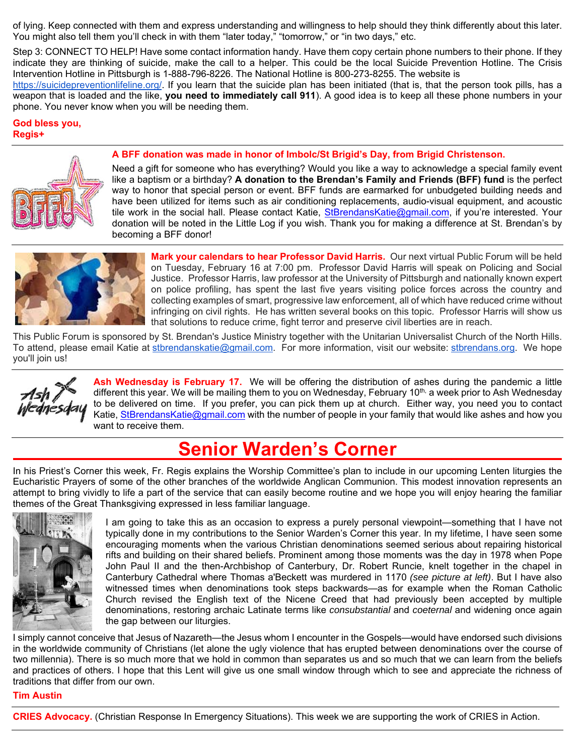of lying. Keep connected with them and express understanding and willingness to help should they think differently about this later. You might also tell them you'll check in with them "later today," "tomorrow," or "in two days," etc.

Step 3: CONNECT TO HELP! Have some contact information handy. Have them copy certain phone numbers to their phone. If they indicate they are thinking of suicide, make the call to a helper. This could be the local Suicide Prevention Hotline. The Crisis Intervention Hotline in Pittsburgh is 1-888-796-8226. The National Hotline is 800-273-8255. The website is

https://suicidepreventionlifeline.org/. If you learn that the suicide plan has been initiated (that is, that the person took pills, has a weapon that is loaded and the like, **you need to immediately call 911**). A good idea is to keep all these phone numbers in your phone. You never know when you will be needing them.

## **God bless you, Regis+**



#### **A BFF donation was made in honor of Imbolc/St Brigid's Day, from Brigid Christenson.**

Need a gift for someone who has everything? Would you like a way to acknowledge a special family event like a baptism or a birthday? **A donation to the Brendan's Family and Friends (BFF) fund** is the perfect way to honor that special person or event. BFF funds are earmarked for unbudgeted building needs and have been utilized for items such as air conditioning replacements, audio-visual equipment, and acoustic tile work in the social hall. Please contact Katie, StBrendansKatie@gmail.com, if you're interested. Your donation will be noted in the Little Log if you wish. Thank you for making a difference at St. Brendan's by becoming a BFF donor!



**Mark your calendars to hear Professor David Harris.** Our next virtual Public Forum will be held on Tuesday, February 16 at 7:00 pm. Professor David Harris will speak on Policing and Social Justice. Professor Harris, law professor at the University of Pittsburgh and nationally known expert on police profiling, has spent the last five years visiting police forces across the country and collecting examples of smart, progressive law enforcement, all of which have reduced crime without infringing on civil rights. He has written several books on this topic. Professor Harris will show us that solutions to reduce crime, fight terror and preserve civil liberties are in reach.

This Public Forum is sponsored by St. Brendan's Justice Ministry together with the Unitarian Universalist Church of the North Hills. To attend, please email Katie at stbrendanskatie@gmail.com. For more information, visit our website: stbrendans.org. We hope you'll join us!



**Ash Wednesday is February 17.** We will be offering the distribution of ashes during the pandemic a little different this year. We will be mailing them to you on Wednesday, February 10<sup>th,</sup> a week prior to Ash Wednesday to be delivered on time. If you prefer, you can pick them up at church. Either way, you need you to contact Katie, StBrendansKatie@gmail.com with the number of people in your family that would like ashes and how you want to receive them.

## **Senior Warden's Corner**

In his Priest's Corner this week, Fr. Regis explains the Worship Committee's plan to include in our upcoming Lenten liturgies the Eucharistic Prayers of some of the other branches of the worldwide Anglican Communion. This modest innovation represents an attempt to bring vividly to life a part of the service that can easily become routine and we hope you will enjoy hearing the familiar themes of the Great Thanksgiving expressed in less familiar language.



I am going to take this as an occasion to express a purely personal viewpoint—something that I have not typically done in my contributions to the Senior Warden's Corner this year. In my lifetime, I have seen some encouraging moments when the various Christian denominations seemed serious about repairing historical rifts and building on their shared beliefs. Prominent among those moments was the day in 1978 when Pope John Paul II and the then-Archbishop of Canterbury, Dr. Robert Runcie, knelt together in the chapel in Canterbury Cathedral where Thomas a'Beckett was murdered in 1170 *(see picture at left)*. But I have also witnessed times when denominations took steps backwards—as for example when the Roman Catholic Church revised the English text of the Nicene Creed that had previously been accepted by multiple denominations, restoring archaic Latinate terms like *consubstantial* and *coeternal* and widening once again the gap between our liturgies.

I simply cannot conceive that Jesus of Nazareth—the Jesus whom I encounter in the Gospels—would have endorsed such divisions in the worldwide community of Christians (let alone the ugly violence that has erupted between denominations over the course of two millennia). There is so much more that we hold in common than separates us and so much that we can learn from the beliefs and practices of others. I hope that this Lent will give us one small window through which to see and appreciate the richness of traditions that differ from our own.

#### **Tim Austin**

**CRIES Advocacy.** (Christian Response In Emergency Situations). This week we are supporting the work of CRIES in Action.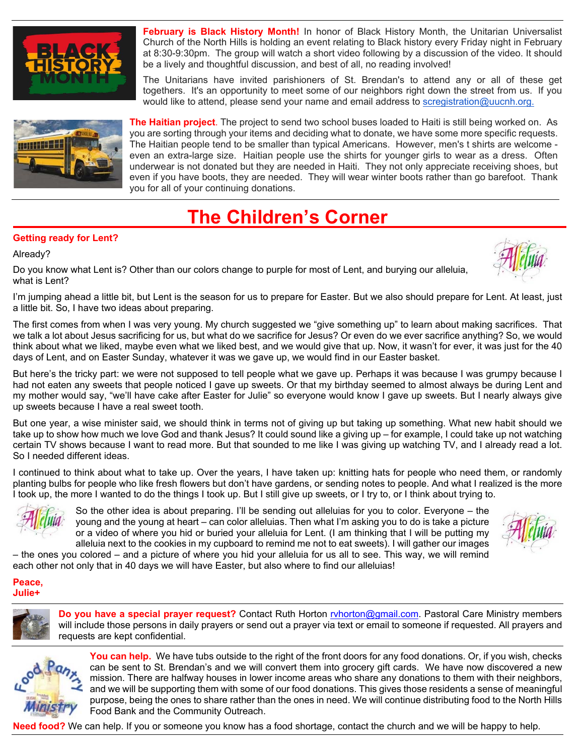

**February is Black History Month!** In honor of Black History Month, the Unitarian Universalist Church of the North Hills is holding an event relating to Black history every Friday night in February at 8:30-9:30pm. The group will watch a short video following by a discussion of the video. It should be a lively and thoughtful discussion, and best of all, no reading involved!

The Unitarians have invited parishioners of St. Brendan's to attend any or all of these get togethers. It's an opportunity to meet some of our neighbors right down the street from us. If you would like to attend, please send your name and email address to scregistration@uucnh.org.



**The Haitian project**. The project to send two school buses loaded to Haiti is still being worked on. As you are sorting through your items and deciding what to donate, we have some more specific requests. The Haitian people tend to be smaller than typical Americans. However, men's t shirts are welcome even an extra-large size. Haitian people use the shirts for younger girls to wear as a dress. Often underwear is not donated but they are needed in Haiti. They not only appreciate receiving shoes, but even if you have boots, they are needed. They will wear winter boots rather than go barefoot. Thank you for all of your continuing donations.

# **The Children's Corner**

## **Getting ready for Lent?**

## Already?



Do you know what Lent is? Other than our colors change to purple for most of Lent, and burying our alleluia, what is Lent?

I'm jumping ahead a little bit, but Lent is the season for us to prepare for Easter. But we also should prepare for Lent. At least, just a little bit. So, I have two ideas about preparing.

The first comes from when I was very young. My church suggested we "give something up" to learn about making sacrifices. That we talk a lot about Jesus sacrificing for us, but what do we sacrifice for Jesus? Or even do we ever sacrifice anything? So, we would think about what we liked, maybe even what we liked best, and we would give that up. Now, it wasn't for ever, it was just for the 40 days of Lent, and on Easter Sunday, whatever it was we gave up, we would find in our Easter basket.

But here's the tricky part: we were not supposed to tell people what we gave up. Perhaps it was because I was grumpy because I had not eaten any sweets that people noticed I gave up sweets. Or that my birthday seemed to almost always be during Lent and my mother would say, "we'll have cake after Easter for Julie" so everyone would know I gave up sweets. But I nearly always give up sweets because I have a real sweet tooth.

But one year, a wise minister said, we should think in terms not of giving up but taking up something. What new habit should we take up to show how much we love God and thank Jesus? It could sound like a giving up – for example, I could take up not watching certain TV shows because I want to read more. But that sounded to me like I was giving up watching TV, and I already read a lot. So I needed different ideas.

I continued to think about what to take up. Over the years, I have taken up: knitting hats for people who need them, or randomly planting bulbs for people who like fresh flowers but don't have gardens, or sending notes to people. And what I realized is the more I took up, the more I wanted to do the things I took up. But I still give up sweets, or I try to, or I think about trying to.



So the other idea is about preparing. I'll be sending out alleluias for you to color. Everyone – the young and the young at heart – can color alleluias. Then what I'm asking you to do is take a picture or a video of where you hid or buried your alleluia for Lent. (I am thinking that I will be putting my alleluia next to the cookies in my cupboard to remind me not to eat sweets). I will gather our images

– the ones you colored – and a picture of where you hid your alleluia for us all to see. This way, we will remind each other not only that in 40 days we will have Easter, but also where to find our alleluias!

#### **Peace, Julie+**



**Do you have a special prayer request?** Contact Ruth Horton ryhorton@gmail.com. Pastoral Care Ministry members will include those persons in daily prayers or send out a prayer via text or email to someone if requested. All prayers and requests are kept confidential.



**You can help.** We have tubs outside to the right of the front doors for any food donations. Or, if you wish, checks can be sent to St. Brendan's and we will convert them into grocery gift cards. We have now discovered a new mission. There are halfway houses in lower income areas who share any donations to them with their neighbors, and we will be supporting them with some of our food donations. This gives those residents a sense of meaningful purpose, being the ones to share rather than the ones in need. We will continue distributing food to the North Hills Food Bank and the Community Outreach.

**Need food?** We can help. If you or someone you know has a food shortage, contact the church and we will be happy to help.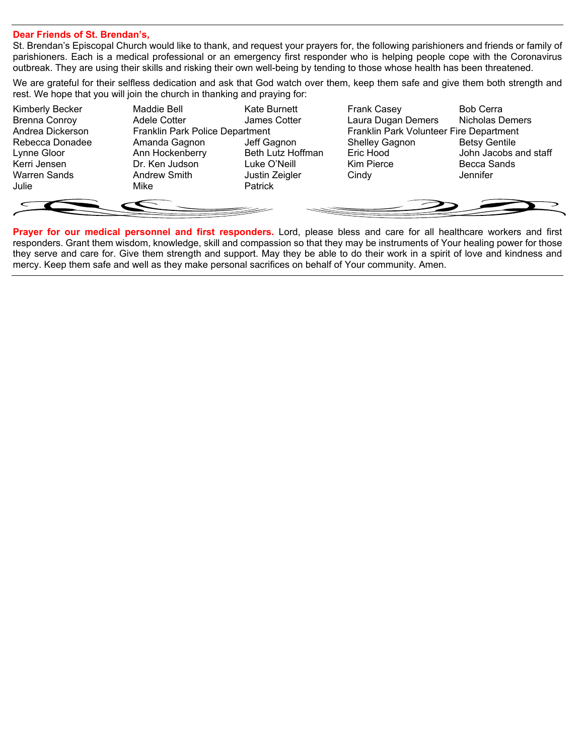### **Dear Friends of St. Brendan's,**

St. Brendan's Episcopal Church would like to thank, and request your prayers for, the following parishioners and friends or family of parishioners. Each is a medical professional or an emergency first responder who is helping people cope with the Coronavirus outbreak. They are using their skills and risking their own well-being by tending to those whose health has been threatened.

We are grateful for their selfless dedication and ask that God watch over them, keep them safe and give them both strength and rest. We hope that you will join the church in thanking and praying for:

| Kimberly Becker      | <b>Maddie Bell</b>              | Kate Burnett             | <b>Frank Casey</b>                      | <b>Bob Cerra</b>      |
|----------------------|---------------------------------|--------------------------|-----------------------------------------|-----------------------|
| <b>Brenna Conroy</b> | Adele Cotter                    | James Cotter             | Laura Dugan Demers                      | Nicholas Demers       |
| Andrea Dickerson     | Franklin Park Police Department |                          | Franklin Park Volunteer Fire Department |                       |
| Rebecca Donadee      | Amanda Gagnon                   | Jeff Gagnon              | <b>Shelley Gagnon</b>                   | <b>Betsy Gentile</b>  |
| Lynne Gloor          | Ann Hockenberry                 | <b>Beth Lutz Hoffman</b> | Eric Hood                               | John Jacobs and staff |
| Kerri Jensen         | Dr. Ken Judson                  | Luke O'Neill             | Kim Pierce                              | Becca Sands           |
| Warren Sands         | Andrew Smith                    | Justin Zeigler           | Cindy                                   | Jennifer              |
| Julie                | Mike                            | Patrick                  |                                         |                       |
|                      |                                 |                          |                                         |                       |
|                      |                                 |                          |                                         |                       |
|                      |                                 |                          |                                         |                       |

**Prayer for our medical personnel and first responders.** Lord, please bless and care for all healthcare workers and first responders. Grant them wisdom, knowledge, skill and compassion so that they may be instruments of Your healing power for those they serve and care for. Give them strength and support. May they be able to do their work in a spirit of love and kindness and mercy. Keep them safe and well as they make personal sacrifices on behalf of Your community. Amen.